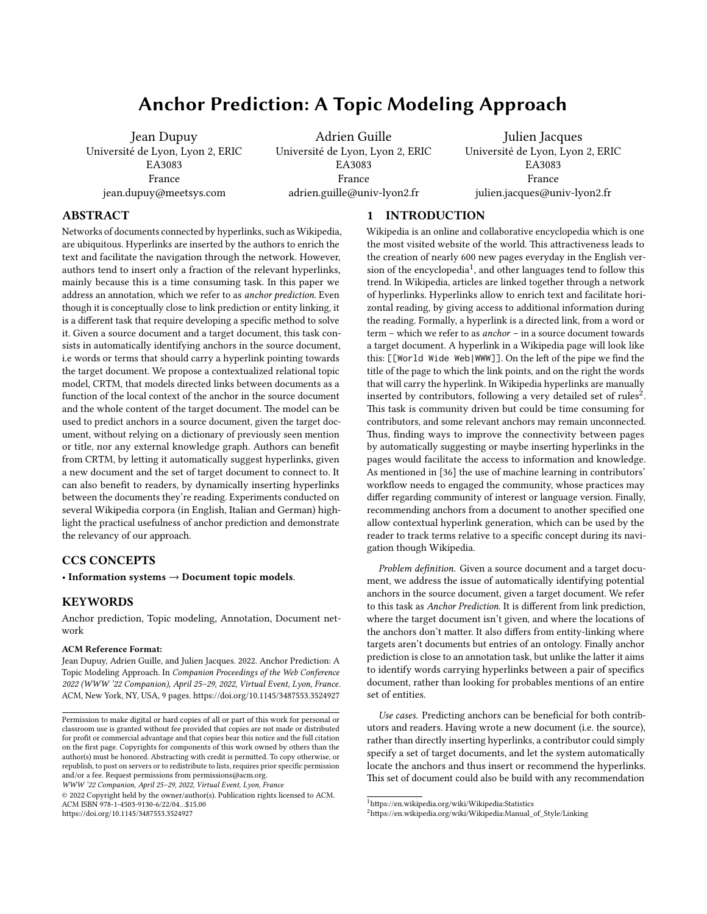# Anchor Prediction: A Topic Modeling Approach

Jean Dupuy Université de Lyon, Lyon 2, ERIC EA3083 France jean.dupuy@meetsys.com

Adrien Guille Université de Lyon, Lyon 2, ERIC EA3083 France adrien.guille@univ-lyon2.fr

Julien Jacques Université de Lyon, Lyon 2, ERIC EA3083 France julien.jacques@univ-lyon2.fr

# ABSTRACT

Networks of documents connected by hyperlinks, such as Wikipedia, are ubiquitous. Hyperlinks are inserted by the authors to enrich the text and facilitate the navigation through the network. However, authors tend to insert only a fraction of the relevant hyperlinks, mainly because this is a time consuming task. In this paper we address an annotation, which we refer to as anchor prediction. Even though it is conceptually close to link prediction or entity linking, it is a different task that require developing a specific method to solve it. Given a source document and a target document, this task consists in automatically identifying anchors in the source document, i.e words or terms that should carry a hyperlink pointing towards the target document. We propose a contextualized relational topic model, CRTM, that models directed links between documents as a function of the local context of the anchor in the source document and the whole content of the target document. The model can be used to predict anchors in a source document, given the target document, without relying on a dictionary of previously seen mention or title, nor any external knowledge graph. Authors can benefit from CRTM, by letting it automatically suggest hyperlinks, given a new document and the set of target document to connect to. It can also benefit to readers, by dynamically inserting hyperlinks between the documents they're reading. Experiments conducted on several Wikipedia corpora (in English, Italian and German) highlight the practical usefulness of anchor prediction and demonstrate the relevancy of our approach.

## CCS CONCEPTS

• Information systems  $\rightarrow$  Document topic models.

## **KEYWORDS**

Anchor prediction, Topic modeling, Annotation, Document network

#### ACM Reference Format:

Jean Dupuy, Adrien Guille, and Julien Jacques. 2022. Anchor Prediction: A Topic Modeling Approach. In Companion Proceedings of the Web Conference 2022 (WWW '22 Companion), April 25–29, 2022, Virtual Event, Lyon, France. ACM, New York, NY, USA, [9](#page-8-0) pages.<https://doi.org/10.1145/3487553.3524927>

© 2022 Copyright held by the owner/author(s). Publication rights licensed to ACM. ACM ISBN 978-1-4503-9130-6/22/04…\$15.00 <https://doi.org/10.1145/3487553.3524927>

## 1 INTRODUCTION

Wikipedia is an online and collaborative encyclopedia which is one the most visited website of the world. This attractiveness leads to the creation of nearly 600 new pages everyday in the English ver-sion of the encyclopedia<sup>[1](#page-0-0)</sup>, and other languages tend to follow this trend. In Wikipedia, articles are linked together through a network of hyperlinks. Hyperlinks allow to enrich text and facilitate horizontal reading, by giving access to additional information during the reading. Formally, a hyperlink is a directed link, from a word or term – which we refer to as anchor – in a source document towards a target document. A hyperlink in a Wikipedia page will look like this: [[World Wide Web|WWW]]. On the left of the pipe we find the title of the page to which the link points, and on the right the words that will carry the hyperlink. In Wikipedia hyperlinks are manually inserted by contributors, following a very detailed set of rules<sup>[2](#page-0-1)</sup>. This task is community driven but could be time consuming for contributors, and some relevant anchors may remain unconnected. Thus, finding ways to improve the connectivity between pages by automatically suggesting or maybe inserting hyperlinks in the pages would facilitate the access to information and knowledge. As mentioned in [\[36\]](#page-8-1) the use of machine learning in contributors' workflow needs to engaged the community, whose practices may differ regarding community of interest or language version. Finally, recommending anchors from a document to another specified one allow contextual hyperlink generation, which can be used by the reader to track terms relative to a specific concept during its navigation though Wikipedia.

Problem definition. Given a source document and a target document, we address the issue of automatically identifying potential anchors in the source document, given a target document. We refer to this task as Anchor Prediction. It is different from link prediction, where the target document isn't given, and where the locations of the anchors don't matter. It also differs from entity-linking where targets aren't documents but entries of an ontology. Finally anchor prediction is close to an annotation task, but unlike the latter it aims to identify words carrying hyperlinks between a pair of specifics document, rather than looking for probables mentions of an entire set of entities.

Use cases. Predicting anchors can be beneficial for both contributors and readers. Having wrote a new document (i.e. the source), rather than directly inserting hyperlinks, a contributor could simply specify a set of target documents, and let the system automatically locate the anchors and thus insert or recommend the hyperlinks. This set of document could also be build with any recommendation

Permission to make digital or hard copies of all or part of this work for personal or classroom use is granted without fee provided that copies are not made or distributed for profit or commercial advantage and that copies bear this notice and the full citation on the first page. Copyrights for components of this work owned by others than the author(s) must be honored. Abstracting with credit is permitted. To copy otherwise, or republish, to post on servers or to redistribute to lists, requires prior specific permission and/or a fee. Request permissions from permissions@acm.org.

WWW '22 Companion, April 25–29, 2022, Virtual Event, Lyon, France

<span id="page-0-0"></span><sup>1</sup>https://en.wikipedia.org/wiki/Wikipedia:Statistics

<span id="page-0-1"></span><sup>2</sup>https://en.wikipedia.org/wiki/Wikipedia:Manual\_of\_Style/Linking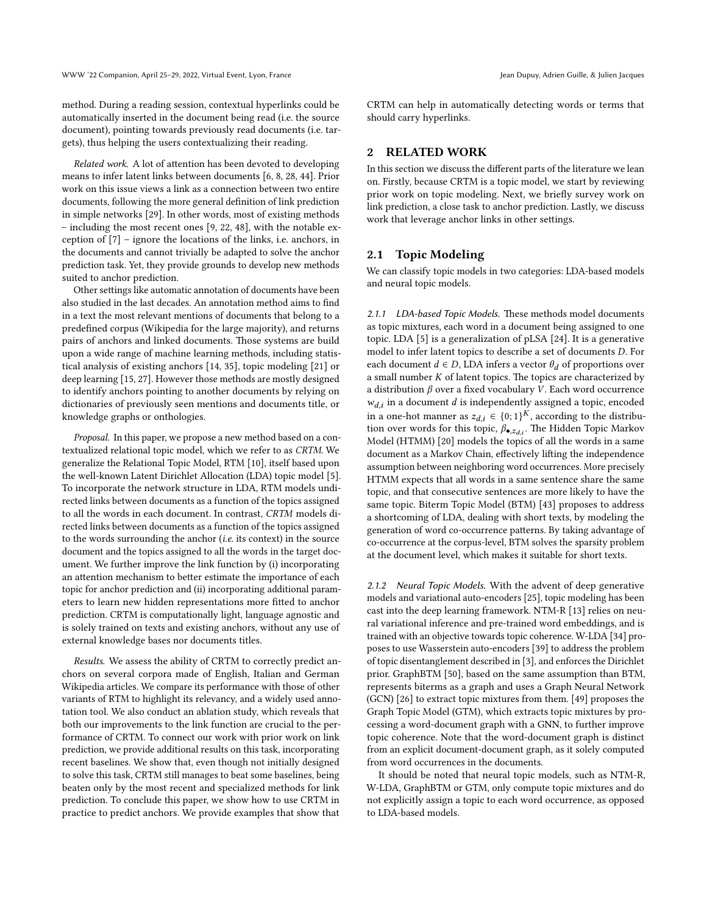method. During a reading session, contextual hyperlinks could be automatically inserted in the document being read (i.e. the source document), pointing towards previously read documents (i.e. targets), thus helping the users contextualizing their reading.

Related work. A lot of attention has been devoted to developing means to infer latent links between documents [\[6,](#page-8-2) [8,](#page-8-3) [28,](#page-8-4) [44\]](#page-8-5). Prior work on this issue views a link as a connection between two entire documents, following the more general definition of link prediction in simple networks [\[29\]](#page-8-6). In other words, most of existing methods – including the most recent ones [\[9,](#page-8-7) [22,](#page-8-8) [48\]](#page-8-9), with the notable exception of [\[7\]](#page-8-10) – ignore the locations of the links, i.e. anchors, in the documents and cannot trivially be adapted to solve the anchor prediction task. Yet, they provide grounds to develop new methods suited to anchor prediction.

Other settings like automatic annotation of documents have been also studied in the last decades. An annotation method aims to find in a text the most relevant mentions of documents that belong to a predefined corpus (Wikipedia for the large majority), and returns pairs of anchors and linked documents. Those systems are build upon a wide range of machine learning methods, including statistical analysis of existing anchors [\[14,](#page-8-11) [35\]](#page-8-12), topic modeling [\[21\]](#page-8-13) or deep learning [\[15,](#page-8-14) [27\]](#page-8-15). However those methods are mostly designed to identify anchors pointing to another documents by relying on dictionaries of previously seen mentions and documents title, or knowledge graphs or onthologies.

Proposal. In this paper, we propose a new method based on a contextualized relational topic model, which we refer to as CRTM. We generalize the Relational Topic Model, RTM [\[10\]](#page-8-16), itself based upon the well-known Latent Dirichlet Allocation (LDA) topic model [\[5\]](#page-8-17). To incorporate the network structure in LDA, RTM models undirected links between documents as a function of the topics assigned to all the words in each document. In contrast, CRTM models directed links between documents as a function of the topics assigned to the words surrounding the anchor (i.e. its context) in the source document and the topics assigned to all the words in the target document. We further improve the link function by (i) incorporating an attention mechanism to better estimate the importance of each topic for anchor prediction and (ii) incorporating additional parameters to learn new hidden representations more fitted to anchor prediction. CRTM is computationally light, language agnostic and is solely trained on texts and existing anchors, without any use of external knowledge bases nor documents titles.

Results. We assess the ability of CRTM to correctly predict anchors on several corpora made of English, Italian and German Wikipedia articles. We compare its performance with those of other variants of RTM to highlight its relevancy, and a widely used annotation tool. We also conduct an ablation study, which reveals that both our improvements to the link function are crucial to the performance of CRTM. To connect our work with prior work on link prediction, we provide additional results on this task, incorporating recent baselines. We show that, even though not initially designed to solve this task, CRTM still manages to beat some baselines, being beaten only by the most recent and specialized methods for link prediction. To conclude this paper, we show how to use CRTM in practice to predict anchors. We provide examples that show that

CRTM can help in automatically detecting words or terms that should carry hyperlinks.

## 2 RELATED WORK

In this section we discuss the different parts of the literature we lean on. Firstly, because CRTM is a topic model, we start by reviewing prior work on topic modeling. Next, we briefly survey work on link prediction, a close task to anchor prediction. Lastly, we discuss work that leverage anchor links in other settings.

## 2.1 Topic Modeling

We can classify topic models in two categories: LDA-based models and neural topic models.

2.1.1 LDA-based Topic Models. These methods model documents as topic mixtures, each word in a document being assigned to one topic. LDA [\[5\]](#page-8-17) is a generalization of pLSA [\[24\]](#page-8-18). It is a generative model to infer latent topics to describe a set of documents D. For each document  $d \in D$ , LDA infers a vector  $\theta_d$  of proportions over a small number  $K$  of latent topics. The topics are characterized by a distribution  $\beta$  over a fixed vocabulary V. Each word occurrence  $w_{d,i}$  in a document  $d$  is independently assigned a topic, encoded in a one-hot manner as  $z_{d,i} \in \{0,1\}^K$ , according to the distribution over words for this topic,  $\beta_{\bullet, z_{d,i}}$ . The Hidden Topic Markov Model (HTMM) [\[20\]](#page-8-19) models the topics of all the words in a same document as a Markov Chain, effectively lifting the independence assumption between neighboring word occurrences. More precisely HTMM expects that all words in a same sentence share the same topic, and that consecutive sentences are more likely to have the same topic. Biterm Topic Model (BTM) [\[43\]](#page-8-20) proposes to address a shortcoming of LDA, dealing with short texts, by modeling the generation of word co-occurrence patterns. By taking advantage of co-occurrence at the corpus-level, BTM solves the sparsity problem at the document level, which makes it suitable for short texts.

2.1.2 Neural Topic Models. With the advent of deep generative models and variational auto-encoders [\[25\]](#page-8-21), topic modeling has been cast into the deep learning framework. NTM-R [\[13\]](#page-8-22) relies on neural variational inference and pre-trained word embeddings, and is trained with an objective towards topic coherence. W-LDA [\[34\]](#page-8-23) proposes to use Wasserstein auto-encoders [\[39\]](#page-8-24) to address the problem of topic disentanglement described in [\[3\]](#page-8-25), and enforces the Dirichlet prior. GraphBTM [\[50\]](#page-8-26), based on the same assumption than BTM, represents biterms as a graph and uses a Graph Neural Network (GCN) [\[26\]](#page-8-27) to extract topic mixtures from them. [\[49\]](#page-8-28) proposes the Graph Topic Model (GTM), which extracts topic mixtures by processing a word-document graph with a GNN, to further improve topic coherence. Note that the word-document graph is distinct from an explicit document-document graph, as it solely computed from word occurrences in the documents.

It should be noted that neural topic models, such as NTM-R, W-LDA, GraphBTM or GTM, only compute topic mixtures and do not explicitly assign a topic to each word occurrence, as opposed to LDA-based models.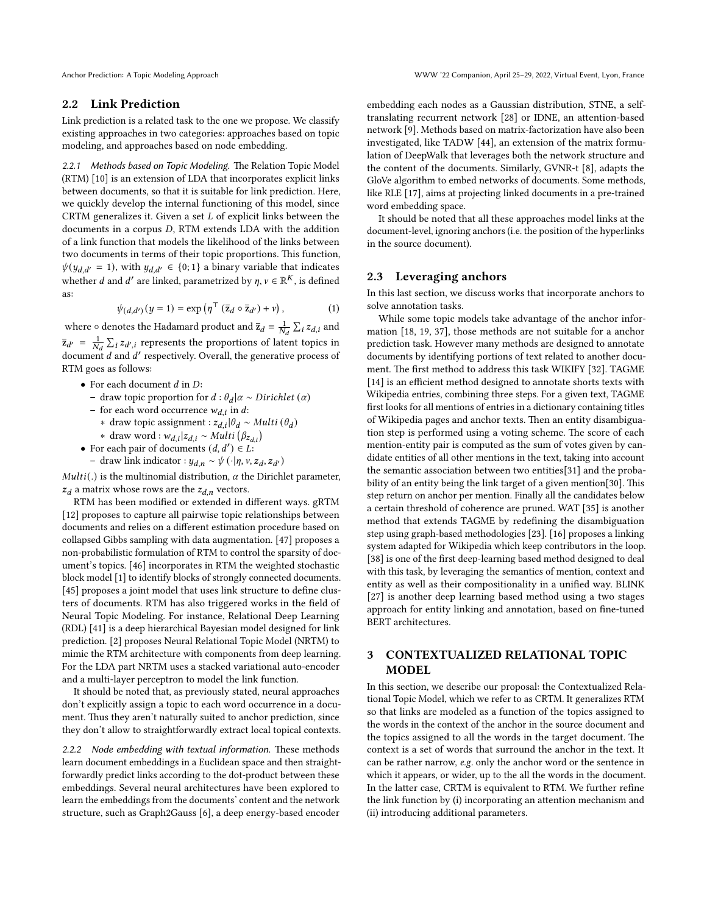## 2.2 Link Prediction

Link prediction is a related task to the one we propose. We classify existing approaches in two categories: approaches based on topic modeling, and approaches based on node embedding.

2.2.1 Methods based on Topic Modeling. The Relation Topic Model (RTM) [\[10\]](#page-8-16) is an extension of LDA that incorporates explicit links between documents, so that it is suitable for link prediction. Here, we quickly develop the internal functioning of this model, since CRTM generalizes it. Given a set  $L$  of explicit links between the documents in a corpus D, RTM extends LDA with the addition of a link function that models the likelihood of the links between two documents in terms of their topic proportions. This function,  $\psi(y_{d,d'} = 1)$ , with  $y_{d,d'} \in \{0, 1\}$  a binary variable that indicates whether *d* and *d'* are linked, parametrized by  $\eta$ ,  $\nu \in \mathbb{R}^K$ , is defined as:

<span id="page-2-0"></span>
$$
\psi_{(d,d')}(y=1) = \exp\left(\eta^\top \left(\overline{z}_d \circ \overline{z}_{d'}\right) + v\right),\tag{1}
$$

where  $\circ$  denotes the Hadamard product and  $\overline{z}_d = \frac{1}{N_d} \sum_i z_{d,i}$  and  $\bar{z}_{d'} = \frac{1}{N_d} \sum_i z_{d',i}$  represents the proportions of latent topics in document  $d$  and  $d'$  respectively. Overall, the generative process of RTM goes as follows:

- For each document  $d$  in  $D$ :
	- − draw topic proportion for  $d : θ_d | α ∼ Dirichlet (α)$
	- for each word occurrence  $w_{d,i}$  in d:
		- ∗ draw topic assignment :  $z_{d,i}$ | $θ_d$  ∼ Multi ( $θ_d$ )
	- ∗ draw word :  $w_{d,i} | z_{d,i} \sim Multi (\beta_{z_{d,i}})$
- For each pair of documents  $(d, d') \in L$ :
- draw link indicator :  $y_{d,n} \sim \psi(\cdot | \eta, v, z_d, z_{d'})$

 $Multi(.)$  is the multinomial distribution,  $\alpha$  the Dirichlet parameter,  $z_d$  a matrix whose rows are the  $z_{d,n}$  vectors.

RTM has been modified or extended in different ways. gRTM [\[12\]](#page-8-29) proposes to capture all pairwise topic relationships between documents and relies on a different estimation procedure based on collapsed Gibbs sampling with data augmentation. [\[47\]](#page-8-30) proposes a non-probabilistic formulation of RTM to control the sparsity of document's topics. [\[46\]](#page-8-31) incorporates in RTM the weighted stochastic block model [\[1\]](#page-8-32) to identify blocks of strongly connected documents. [\[45\]](#page-8-33) proposes a joint model that uses link structure to define clusters of documents. RTM has also triggered works in the field of Neural Topic Modeling. For instance, Relational Deep Learning (RDL) [\[41\]](#page-8-34) is a deep hierarchical Bayesian model designed for link prediction. [\[2\]](#page-8-35) proposes Neural Relational Topic Model (NRTM) to mimic the RTM architecture with components from deep learning. For the LDA part NRTM uses a stacked variational auto-encoder and a multi-layer perceptron to model the link function.

It should be noted that, as previously stated, neural approaches don't explicitly assign a topic to each word occurrence in a document. Thus they aren't naturally suited to anchor prediction, since they don't allow to straightforwardly extract local topical contexts.

2.2.2 Node embedding with textual information. These methods learn document embeddings in a Euclidean space and then straightforwardly predict links according to the dot-product between these embeddings. Several neural architectures have been explored to learn the embeddings from the documents' content and the network structure, such as Graph2Gauss [\[6\]](#page-8-2), a deep energy-based encoder

embedding each nodes as a Gaussian distribution, STNE, a selftranslating recurrent network [\[28\]](#page-8-4) or IDNE, an attention-based network [\[9\]](#page-8-7). Methods based on matrix-factorization have also been investigated, like TADW [\[44\]](#page-8-5), an extension of the matrix formulation of DeepWalk that leverages both the network structure and the content of the documents. Similarly, GVNR-t [\[8\]](#page-8-3), adapts the GloVe algorithm to embed networks of documents. Some methods, like RLE [\[17\]](#page-8-36), aims at projecting linked documents in a pre-trained word embedding space.

It should be noted that all these approaches model links at the document-level, ignoring anchors (i.e. the position of the hyperlinks in the source document).

## 2.3 Leveraging anchors

In this last section, we discuss works that incorporate anchors to solve annotation tasks.

While some topic models take advantage of the anchor information [\[18,](#page-8-37) [19,](#page-8-38) [37\]](#page-8-39), those methods are not suitable for a anchor prediction task. However many methods are designed to annotate documents by identifying portions of text related to another document. The first method to address this task WIKIFY [\[32\]](#page-8-40). TAGME [\[14\]](#page-8-11) is an efficient method designed to annotate shorts texts with Wikipedia entries, combining three steps. For a given text, TAGME first looks for all mentions of entries in a dictionary containing titles of Wikipedia pages and anchor texts. Then an entity disambiguation step is performed using a voting scheme. The score of each mention-entity pair is computed as the sum of votes given by candidate entities of all other mentions in the text, taking into account the semantic association between two entities[\[31\]](#page-8-41) and the probability of an entity being the link target of a given mention[\[30\]](#page-8-42). This step return on anchor per mention. Finally all the candidates below a certain threshold of coherence are pruned. WAT [\[35\]](#page-8-12) is another method that extends TAGME by redefining the disambiguation step using graph-based methodologies [\[23\]](#page-8-43). [\[16\]](#page-8-44) proposes a linking system adapted for Wikipedia which keep contributors in the loop. [\[38\]](#page-8-45) is one of the first deep-learning based method designed to deal with this task, by leveraging the semantics of mention, context and entity as well as their compositionality in a unified way. BLINK [\[27\]](#page-8-15) is another deep learning based method using a two stages approach for entity linking and annotation, based on fine-tuned BERT architectures.

# 3 CONTEXTUALIZED RELATIONAL TOPIC MODEL

In this section, we describe our proposal: the Contextualized Relational Topic Model, which we refer to as CRTM. It generalizes RTM so that links are modeled as a function of the topics assigned to the words in the context of the anchor in the source document and the topics assigned to all the words in the target document. The context is a set of words that surround the anchor in the text. It can be rather narrow, e.g. only the anchor word or the sentence in which it appears, or wider, up to the all the words in the document. In the latter case, CRTM is equivalent to RTM. We further refine the link function by (i) incorporating an attention mechanism and (ii) introducing additional parameters.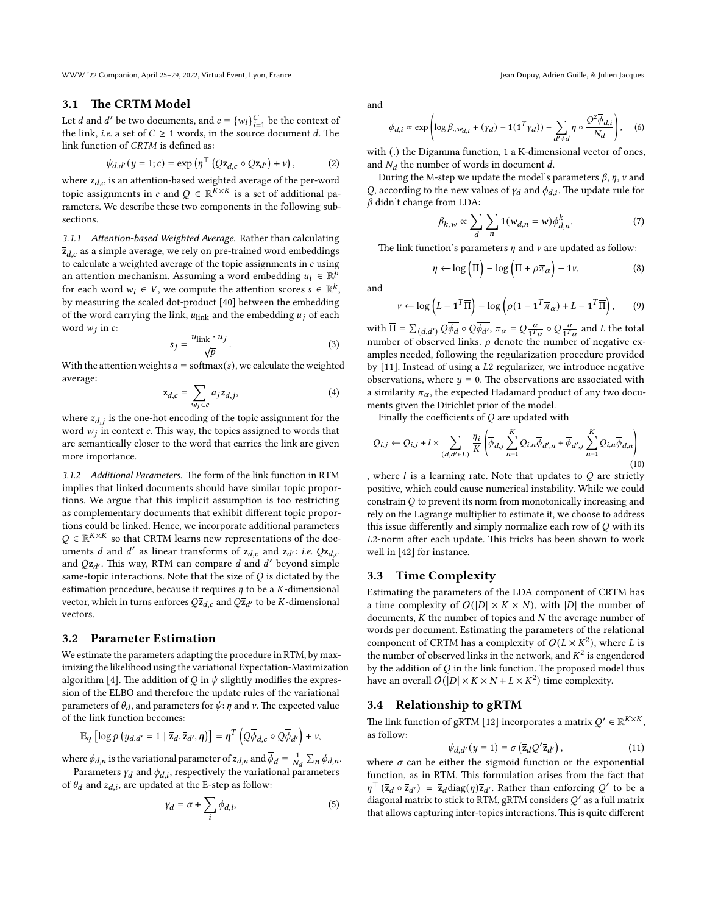WWW '22 Companion, April 25–29, 2022, Virtual Event, Lyon, France Jean Dupuy, Adrien Guille, & Julien Jacques

#### 3.1 The CRTM Model

Let *d* and *d'* be two documents, and  $c = \{w_i\}_{i=1}^C$  be the context of the link, *i.e.* a set of  $C \geq 1$  words, in the source document d. The link function of CRTM is defined as:

<span id="page-3-0"></span>
$$
\psi_{d,d'}(y=1;c) = \exp\left(\eta^\top \left(Q\overline{z}_{d,c} \circ Q\overline{z}_{d'}\right) + v\right),\tag{2}
$$

where  $\overline{\mathbf{z}}_{d,c}$  is an attention-based weighted average of the per-word topic assignments in c and  $Q \in \mathbb{R}^{K \times K}$  is a set of additional parameters. We describe these two components in the following subsections.

3.1.1 Attention-based Weighted Average. Rather than calculating  $\overline{z}_{d,c}$  as a simple average, we rely on pre-trained word embeddings to calculate a weighted average of the topic assignments in  $c$  using an attention mechanism. Assuming a word embedding  $u_i \in \mathbb{R}^p$ for each word  $w_i \in V$ , we compute the attention scores  $s \in \mathbb{R}^k$ , by measuring the scaled dot-product [\[40\]](#page-8-46) between the embedding of the word carrying the link,  $u_{\text{link}}$  and the embedding  $u_j$  of each word  $w_j$  in  $c$ :

$$
s_j = \frac{u_{\text{link}} \cdot u_j}{\sqrt{p}}.\tag{3}
$$

With the attention weights  $a = \text{softmax}(s)$ , we calculate the weighted average:

$$
\overline{\mathbf{z}}_{d,c} = \sum_{w_j \in c} a_j z_{d,j},\tag{4}
$$

where  $z_{d,j}$  is the one-hot encoding of the topic assignment for the word  $w_j$  in context  $c$ . This way, the topics assigned to words that are semantically closer to the word that carries the link are given more importance.

3.1.2 Additional Parameters. The form of the link function in RTM implies that linked documents should have similar topic proportions. We argue that this implicit assumption is too restricting as complementary documents that exhibit different topic proportions could be linked. Hence, we incorporate additional parameters  $Q \in \mathbb{R}^{K \times K}$  so that CRTM learns new representations of the documents d and d' as linear transforms of  $\bar{z}_{d,c}$  and  $\bar{z}_{d'}$ : *i.e.*  $Q\bar{z}_{d,c}$ and  $Q\bar{z}_{d'}$ . This way, RTM can compare d and d' beyond simple same-topic interactions. Note that the size of  $Q$  is dictated by the estimation procedure, because it requires  $\eta$  to be a *K*-dimensional vector, which in turns enforces  $Q\bar{z}_{d,c}$  and  $Q\bar{z}_{d'}$  to be K-dimensional vectors.

#### 3.2 Parameter Estimation

We estimate the parameters adapting the procedure in RTM, by maximizing the likelihood using the variational Expectation-Maximization algorithm [\[4\]](#page-8-47). The addition of Q in  $\psi$  slightly modifies the expression of the ELBO and therefore the update rules of the variational parameters of  $\theta_d$ , and parameters for  $\psi$ :  $\eta$  and  $\nu$ . The expected value of the link function becomes:

$$
\mathbb{E}_q \left[ \log p \left( y_{d,d'} = 1 \mid \overline{\mathsf{z}}_d, \overline{\mathsf{z}}_{d'}, \eta \right) \right] = \eta^T \left( Q \overline{\phi}_{d,c} \circ Q \overline{\phi}_{d'} \right) + \nu,
$$

where  $\phi_{d,n}$  is the variational parameter of  $z_{d,n}$  and  $\overline{\phi}_d = \frac{1}{N_d} \sum_n \phi_{d,n}$ .

Parameters  $\gamma_d$  and  $\phi_{d,i}$ , respectively the variational parameters of  $\theta_d$  and  $z_{d,i}$ , are updated at the E-step as follow:

$$
\gamma_d = \alpha + \sum_i \phi_{d,i},\tag{5}
$$

and

$$
\phi_{d,i} \propto \exp\left(\log \beta_{\cdot, w_{d,i}} + (\gamma_d) - \mathbf{1}(\mathbf{1}^T \gamma_d)) + \sum_{d' \neq d} \eta \circ \frac{Q^2 \overline{\phi}_{d,i}}{N_d}\right), \quad (6)
$$

with (.) the Digamma function, 1 a K-dimensional vector of ones, and  $N_d$  the number of words in document d.

During the M-step we update the model's parameters  $\beta$ ,  $\eta$ ,  $\nu$  and Q, according to the new values of  $\gamma_d$  and  $\phi_{d,i}$ . The update rule for  $\beta$  didn't change from LDA:

$$
\beta_{k,w} \propto \sum_{d} \sum_{n} \mathbf{1}(w_{d,n} = w) \phi_{d,n}^{k}.
$$
 (7)

The link function's parameters  $\eta$  and  $\nu$  are updated as follow:

$$
\eta \leftarrow \log\left(\overline{\Pi}\right) - \log\left(\overline{\Pi} + \rho \overline{\pi}_{\alpha}\right) - 1\nu,\tag{8}
$$

and

$$
v \leftarrow \log \left( L - \mathbf{1}^T \overline{\Pi} \right) - \log \left( \rho (1 - \mathbf{1}^T \overline{\pi}_{\alpha}) + L - \mathbf{1}^T \overline{\Pi} \right), \qquad (9)
$$

with  $\overline{\Pi} = \sum_{(d,d')} Q \overline{\phi_d} \circ Q \overline{\phi_{d'}}, \overline{\pi}_{\alpha} = Q \frac{\alpha}{1^T}$  $\frac{\alpha}{1^T \alpha} \circ Q \frac{\alpha}{1^T}$  $\frac{\alpha}{1^T \alpha}$  and L the total number of observed links.  $\rho$  denote the number of negative examples needed, following the regularization procedure provided by  $[11]$ . Instead of using a  $L2$  regularizer, we introduce negative observations, where  $y = 0$ . The observations are associated with a similarity  $\overline{\pi}_{\alpha}$ , the expected Hadamard product of any two documents given the Dirichlet prior of the model.

Finally the coefficients of  $O$  are updated with

$$
Q_{i,j} \leftarrow Q_{i,j} + l \times \sum_{(d,d' \in L)} \frac{\eta_i}{K} \left( \overline{\phi}_{d,j} \sum_{n=1}^K Q_{i,n} \overline{\phi}_{d',n} + \overline{\phi}_{d',j} \sum_{n=1}^K Q_{i,n} \overline{\phi}_{d,n} \right)
$$
\n(10)

, where  $l$  is a learning rate. Note that updates to  $Q$  are strictly positive, which could cause numerical instability. While we could constrain  $Q$  to prevent its norm from monotonically increasing and rely on the Lagrange multiplier to estimate it, we choose to address this issue differently and simply normalize each row of  $Q$  with its L2-norm after each update. This tricks has been shown to work well in [\[42\]](#page-8-49) for instance.

## 3.3 Time Complexity

Estimating the parameters of the LDA component of CRTM has a time complexity of  $O(|D| \times K \times N)$ , with |D| the number of documents,  $K$  the number of topics and  $N$  the average number of words per document. Estimating the parameters of the relational component of CRTM has a complexity of  $O(L \times K^2)$ , where L is the number of observed links in the network, and  $K^2$  is engendered by the addition of  $Q$  in the link function. The proposed model thus have an overall  $O(|D| \times K \times N + L \times K^2)$  time complexity.

## 3.4 Relationship to gRTM

The link function of gRTM [\[12\]](#page-8-29) incorporates a matrix  $Q' \in \mathbb{R}^{K \times K}$ , as follow:

$$
\psi_{d,d'}(y=1) = \sigma\left(\overline{\mathbf{z}}_d Q' \overline{\mathbf{z}}_{d'}\right),\tag{11}
$$

where  $\sigma$  can be either the sigmoid function or the exponential function, as in RTM. This formulation arises from the fact that  $\eta^{\top}$  ( $\bar{z}_d \circ \bar{z}_{d'}$ ) =  $\bar{z}_d$ diag( $\eta$ ) $\bar{z}_{d'}$ . Rather than enforcing Q' to be a diagonal matrix to stick to RTM, gRTM considers  $Q'$  as a full matrix that allows capturing inter-topics interactions. This is quite different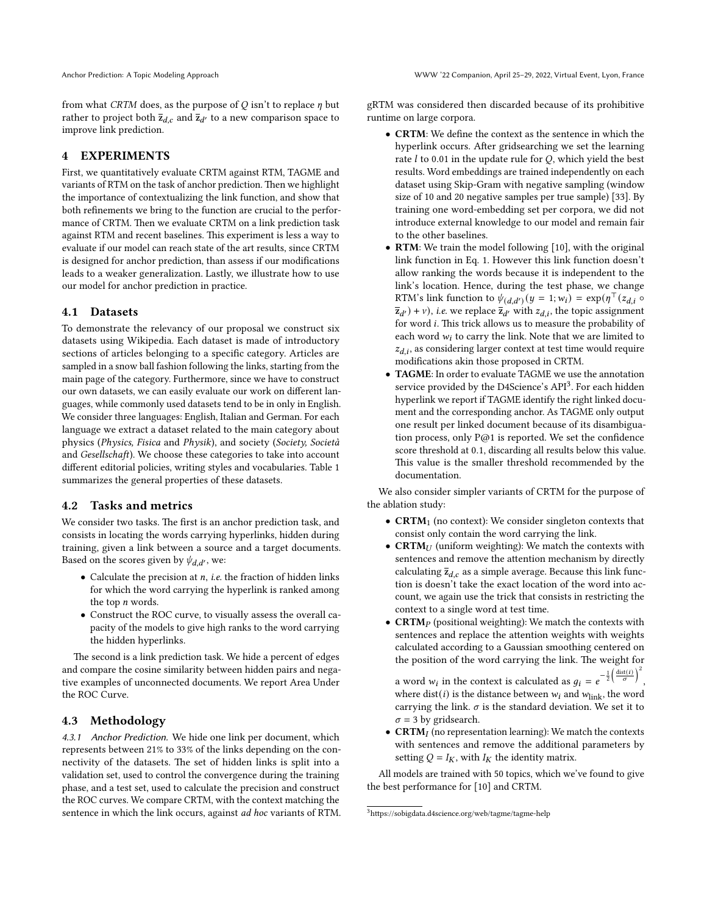from what CRTM does, as the purpose of  $Q$  isn't to replace  $\eta$  but rather to project both  $\overline{z}_{d,c}$  and  $\overline{z}_{d'}$  to a new comparison space to improve link prediction.

## 4 EXPERIMENTS

First, we quantitatively evaluate CRTM against RTM, TAGME and variants of RTM on the task of anchor prediction. Then we highlight the importance of contextualizing the link function, and show that both refinements we bring to the function are crucial to the performance of CRTM. Then we evaluate CRTM on a link prediction task against RTM and recent baselines. This experiment is less a way to evaluate if our model can reach state of the art results, since CRTM is designed for anchor prediction, than assess if our modifications leads to a weaker generalization. Lastly, we illustrate how to use our model for anchor prediction in practice.

## 4.1 Datasets

To demonstrate the relevancy of our proposal we construct six datasets using Wikipedia. Each dataset is made of introductory sections of articles belonging to a specific category. Articles are sampled in a snow ball fashion following the links, starting from the main page of the category. Furthermore, since we have to construct our own datasets, we can easily evaluate our work on different languages, while commonly used datasets tend to be in only in English. We consider three languages: English, Italian and German. For each language we extract a dataset related to the main category about physics (Physics, Fisica and Physik), and society (Society, Società and Gesellschaft). We choose these categories to take into account different editorial policies, writing styles and vocabularies. Table [1](#page-5-0) summarizes the general properties of these datasets.

## 4.2 Tasks and metrics

We consider two tasks. The first is an anchor prediction task, and consists in locating the words carrying hyperlinks, hidden during training, given a link between a source and a target documents. Based on the scores given by  $\psi_{d,d'}$ , we:

- Calculate the precision at  $n$ , *i.e.* the fraction of hidden links for which the word carrying the hyperlink is ranked among the top  $n$  words.
- Construct the ROC curve, to visually assess the overall capacity of the models to give high ranks to the word carrying the hidden hyperlinks.

The second is a link prediction task. We hide a percent of edges and compare the cosine similarity between hidden pairs and negative examples of unconnected documents. We report Area Under the ROC Curve.

## 4.3 Methodology

4.3.1 Anchor Prediction. We hide one link per document, which represents between 21% to 33% of the links depending on the connectivity of the datasets. The set of hidden links is split into a validation set, used to control the convergence during the training phase, and a test set, used to calculate the precision and construct the ROC curves. We compare CRTM, with the context matching the sentence in which the link occurs, against ad hoc variants of RTM. gRTM was considered then discarded because of its prohibitive runtime on large corpora.

- CRTM: We define the context as the sentence in which the hyperlink occurs. After gridsearching we set the learning rate  $l$  to 0.01 in the update rule for  $Q$ , which yield the best results. Word embeddings are trained independently on each dataset using Skip-Gram with negative sampling (window size of 10 and 20 negative samples per true sample) [\[33\]](#page-8-50). By training one word-embedding set per corpora, we did not introduce external knowledge to our model and remain fair to the other baselines.
- RTM: We train the model following [\[10\]](#page-8-16), with the original link function in Eq. [1.](#page-2-0) However this link function doesn't allow ranking the words because it is independent to the link's location. Hence, during the test phase, we change RTM's link function to  $\psi_{(d,d')}(y=1; w_i) = \exp(\eta^\top (z_{d,i} \circ$  $(\overline{z}_{d'}) + v$ ), *i.e.* we replace  $\overline{z}_{d'}$  with  $z_{d,i}$ , the topic assignment for word *i*. This trick allows us to measure the probability of each word  $w_i$  to carry the link. Note that we are limited to  $z_{d,i}$ , as considering larger context at test time would require modifications akin those proposed in CRTM.
- TAGME: In order to evaluate TAGME we use the annotation service provided by the D4Science's API<sup>[3](#page-4-0)</sup>. For each hidden hyperlink we report if TAGME identify the right linked document and the corresponding anchor. As TAGME only output one result per linked document because of its disambiguation process, only P@1 is reported. We set the confidence score threshold at 0.1, discarding all results below this value. This value is the smaller threshold recommended by the documentation.

We also consider simpler variants of CRTM for the purpose of the ablation study:

- CRTM<sub>1</sub> (no context): We consider singleton contexts that consist only contain the word carrying the link.
- CRTM $U$  (uniform weighting): We match the contexts with sentences and remove the attention mechanism by directly calculating  $\overline{z}_{d,c}$  as a simple average. Because this link function is doesn't take the exact location of the word into account, we again use the trick that consists in restricting the context to a single word at test time.
- CRTM<sub>P</sub> (positional weighting): We match the contexts with sentences and replace the attention weights with weights calculated according to a Gaussian smoothing centered on the position of the word carrying the link. The weight for

a word  $w_i$  in the context is calculated as  $g_i = e^{-\frac{1}{2} \left( \frac{\text{dist}(i)}{\sigma} \right)^2}$ , where dist(*i*) is the distance between  $w_i$  and  $w_{\text{link}}$ , the word carrying the link.  $\sigma$  is the standard deviation. We set it to  $\sigma$  = 3 by gridsearch.

• CRTM $_I$  (no representation learning): We match the contexts with sentences and remove the additional parameters by setting  $Q = I_K$ , with  $I_K$  the identity matrix.

All models are trained with 50 topics, which we've found to give the best performance for [\[10\]](#page-8-16) and CRTM.

<span id="page-4-0"></span><sup>3</sup>https://sobigdata.d4science.org/web/tagme/tagme-help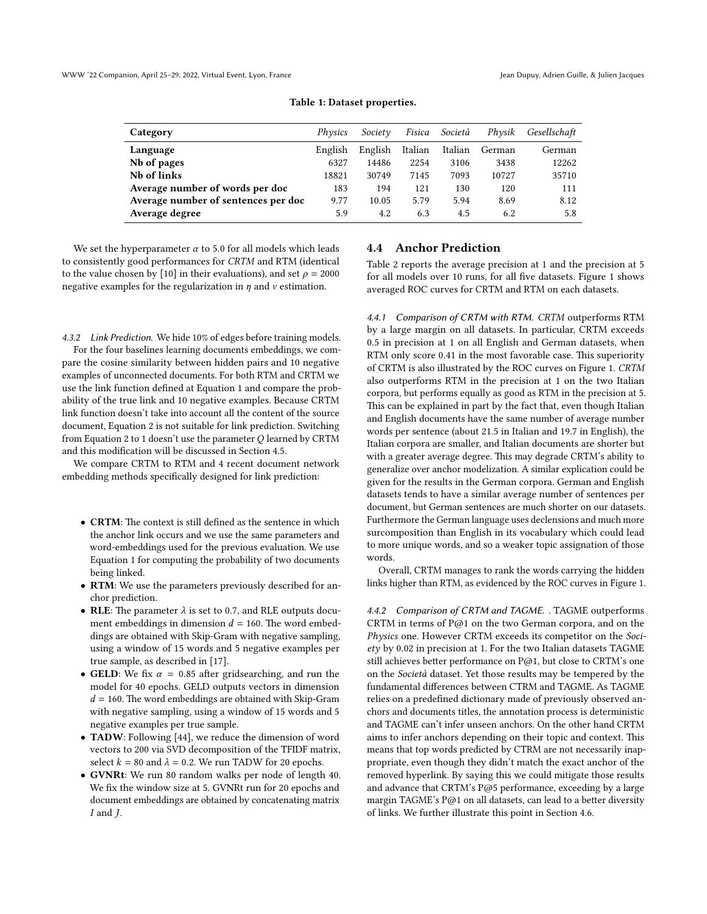<span id="page-5-0"></span>

| Physics | Society | Fisica  | Società | Physik | Gesellschaft |
|---------|---------|---------|---------|--------|--------------|
| English | English | Italian | Italian | German | German       |
| 6327    | 14486   | 2254    | 3106    | 3438   | 12262        |
| 18821   | 30749   | 7145    | 7093    | 10727  | 35710        |
| 183     | 194     | 121     | 130     | 120    | 111          |
| 9.77    | 10.05   | 5.79    | 5.94    | 8.69   | 8.12         |
| 5.9     | 4.2     | 6.3     | 4.5     | 6.2    | 5.8          |
|         |         |         |         |        |              |

Table 1: Dataset properties.

We set the hyperparameter  $\alpha$  to 5.0 for all models which leads to consistently good performances for CRTM and RTM (identical to the value chosen by [\[10\]](#page-8-16) in their evaluations), and set  $\rho = 2000$ negative examples for the regularization in  $\eta$  and  $\nu$  estimation.

<span id="page-5-1"></span>4.3.2 Link Prediction. We hide 10% of edges before training models. For the four baselines learning documents embeddings, we compare the cosine similarity between hidden pairs and 10 negative examples of unconnected documents. For both RTM and CRTM we use the link function defined at Equation [1](#page-2-0) and compare the probability of the true link and 10 negative examples. Because CRTM link function doesn't take into account all the content of the source document, Equation [2](#page-3-0) is not suitable for link prediction. Switching from Equation [2](#page-3-0)to [1](#page-2-0) doesn't use the parameter  $Q$  learned by CRTM and this modification will be discussed in Section [4.5.](#page-6-0)

We compare CRTM to RTM and 4 recent document network embedding methods specifically designed for link prediction:

- CRTM: The context is still defined as the sentence in which the anchor link occurs and we use the same parameters and word-embeddings used for the previous evaluation. We use Equation [1](#page-2-0) for computing the probability of two documents being linked.
- RTM: We use the parameters previously described for anchor prediction.
- RLE: The parameter  $\lambda$  is set to 0.7, and RLE outputs document embeddings in dimension  $d = 160$ . The word embeddings are obtained with Skip-Gram with negative sampling, using a window of 15 words and 5 negative examples per true sample, as described in [\[17\]](#page-8-36).
- GELD: We fix  $\alpha = 0.85$  after gridsearching, and run the model for 40 epochs. GELD outputs vectors in dimension  $d = 160$ . The word embeddings are obtained with Skip-Gram with negative sampling, using a window of 15 words and 5 negative examples per true sample.
- TADW: Following [\[44\]](#page-8-5), we reduce the dimension of word vectors to 200 via SVD decomposition of the TFIDF matrix, select  $k = 80$  and  $\lambda = 0.2$ . We run TADW for 20 epochs.
- GVNRt: We run 80 random walks per node of length 40. We fix the window size at 5. GVNRt run for 20 epochs and document embeddings are obtained by concatenating matrix  $I$  and  $J$ .

## 4.4 Anchor Prediction

Table [2](#page-6-1) reports the average precision at 1 and the precision at 5 for all models over 10 runs, for all five datasets. Figure [1](#page-6-2) shows averaged ROC curves for CRTM and RTM on each datasets.

4.4.1 Comparison of CRTM with RTM. CRTM outperforms RTM by a large margin on all datasets. In particular, CRTM exceeds 0.5 in precision at 1 on all English and German datasets, when RTM only score 0.41 in the most favorable case. This superiority of CRTM is also illustrated by the ROC curves on Figure [1.](#page-6-2) CRTM also outperforms RTM in the precision at 1 on the two Italian corpora, but performs equally as good as RTM in the precision at 5. This can be explained in part by the fact that, even though Italian and English documents have the same number of average number words per sentence (about 21.5 in Italian and 19.7 in English), the Italian corpora are smaller, and Italian documents are shorter but with a greater average degree. This may degrade CRTM's ability to generalize over anchor modelization. A similar explication could be given for the results in the German corpora. German and English datasets tends to have a similar average number of sentences per document, but German sentences are much shorter on our datasets. Furthermore the German language uses declensions and much more surcomposition than English in its vocabulary which could lead to more unique words, and so a weaker topic assignation of those words.

Overall, CRTM manages to rank the words carrying the hidden links higher than RTM, as evidenced by the ROC curves in Figure [1.](#page-6-2)

4.4.2 Comparison of CRTM and TAGME. . TAGME outperforms CRTM in terms of P@1 on the two German corpora, and on the Physics one. However CRTM exceeds its competitor on the Society by 0.02 in precision at 1. For the two Italian datasets TAGME still achieves better performance on P@1, but close to CRTM's one on the Società dataset. Yet those results may be tempered by the fundamental differences between CTRM and TAGME. As TAGME relies on a predefined dictionary made of previously observed anchors and documents titles, the annotation process is deterministic and TAGME can't infer unseen anchors. On the other hand CRTM aims to infer anchors depending on their topic and context. This means that top words predicted by CTRM are not necessarily inappropriate, even though they didn't match the exact anchor of the removed hyperlink. By saying this we could mitigate those results and advance that CRTM's P@5 performance, exceeding by a large margin TAGME's P@1 on all datasets, can lead to a better diversity of links. We further illustrate this point in Section [4.6.](#page-7-0)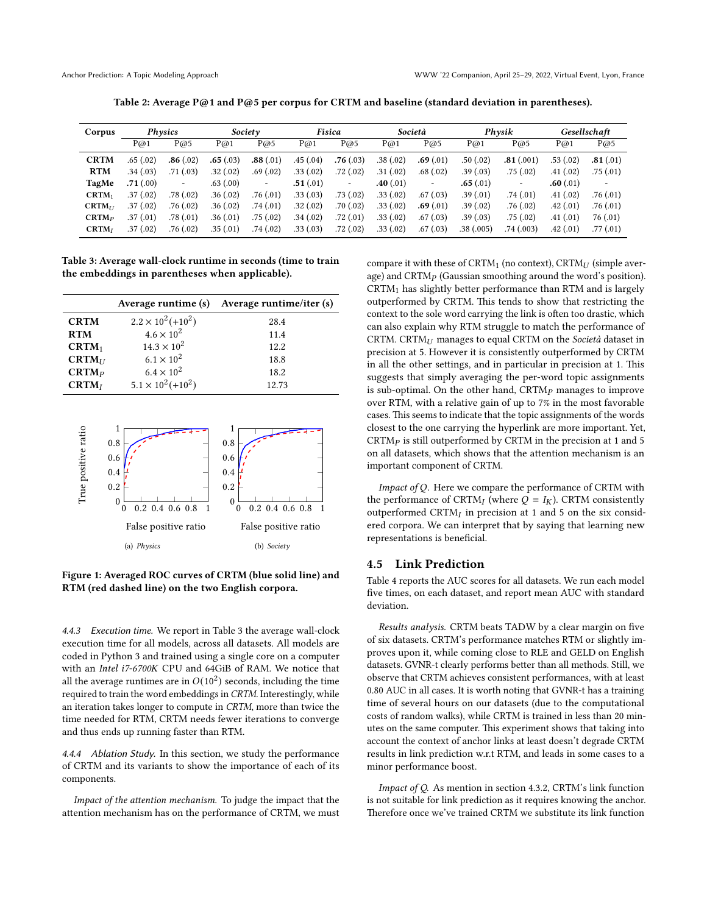Table 2: Average P@1 and P@5 per corpus for CRTM and baseline (standard deviation in parentheses).

<span id="page-6-1"></span>

| Corpus            |          | Physics   |          | Society                  |          | Fisica                   |          | Società        |           | Physik    |          | Gesellschaft |
|-------------------|----------|-----------|----------|--------------------------|----------|--------------------------|----------|----------------|-----------|-----------|----------|--------------|
|                   | P@1      | P@5       | P@1      | P@5                      | P@1      | P@5                      | P@1      | P@5            | P@1       | P@5       | P@1      | P@5          |
| <b>CRTM</b>       | .65(.02) | .86(.02)  | .65(.03) | .88(.01)                 | .45(.04) | .76(.03)                 | .38(.02) | .69(.01)       | .50(.02)  | .81(.001) | .53(.02) | .81(.01)     |
| <b>RTM</b>        | .34(.03) | .71(03)   | .32(.02) | .69(.02)                 | .33(.02) | .72(.02)                 | .31(.02) | .68(.02)       | .39(.03)  | .75(.02)  | .41(.02) | .75(0.01)    |
| TagMe             | .71(.00) | ۰         | .63(.00) | $\overline{\phantom{a}}$ | .51(.01) | $\overline{\phantom{a}}$ | .40(.01) | $\blacksquare$ | .65(.01)  | -         | .60(.01) |              |
| $CRTM_1$          | .37(.02) | .78(.02)  | .36(.02) | .76(0.01)                | .33(.03) | .73(0.02)                | .33(.02) | .67(0.03)      | .39(.01)  | .74(.01)  | .41(.02) | .76(0.01)    |
| $CRTM_{II}$       | .37(.02) | .76(0.02) | .36(.02) | .74(.01)                 | .32(.02) | .70(0.02)                | .33(.02) | .69(.01)       | .39(.02)  | .76(0.02) | .42(.01) | .76(0.01)    |
| $CRTM_P$          | .37(.01) | .78(0.01) | .36(.01) | .75(.02)                 | .34(.02) | .72(01)                  | .33(.02) | .67(03)        | .39(.03)  | .75(.02)  | .41(.01) | 76(0.01)     |
| CRTM <sub>I</sub> | .37(.02) | .76(0.02) | .35(.01) | .74(.02)                 | .33(.03) | .72(.02)                 | .33(.02) | .67(0.03)      | .38(.005) | .74(.003) | .42(.01) | .77 (.01)    |

<span id="page-6-3"></span>Table 3: Average wall-clock runtime in seconds (time to train the embeddings in parentheses when applicable).

|                   |                           | Average runtime (s) Average runtime/iter (s) |
|-------------------|---------------------------|----------------------------------------------|
| <b>CRTM</b>       | $2.2 \times 10^2 (+10^2)$ | 28.4                                         |
| <b>RTM</b>        | $4.6 \times 10^2$         | 11.4                                         |
| $CRTM_1$          | $14.3 \times 10^{2}$      | 12.2                                         |
| $CRTM_{II}$       | $6.1 \times 10^{2}$       | 18.8                                         |
| CRTM <sub>p</sub> | $6.4 \times 10^{2}$       | 18.2                                         |
| CRTM <sub>I</sub> | $5.1 \times 10^2 (+10^2)$ | 12.73                                        |

<span id="page-6-2"></span>

Figure 1: Averaged ROC curves of CRTM (blue solid line) and RTM (red dashed line) on the two English corpora.

4.4.3 Execution time. We report in Table [3](#page-6-3) the average wall-clock execution time for all models, across all datasets. All models are coded in Python 3 and trained using a single core on a computer with an Intel i7-6700K CPU and 64GiB of RAM. We notice that all the average runtimes are in  $O(10^2)$  seconds, including the time required to train the word embeddings in CRTM. Interestingly, while an iteration takes longer to compute in CRTM, more than twice the time needed for RTM, CRTM needs fewer iterations to converge and thus ends up running faster than RTM.

4.4.4 Ablation Study. In this section, we study the performance of CRTM and its variants to show the importance of each of its components.

Impact of the attention mechanism. To judge the impact that the attention mechanism has on the performance of CRTM, we must compare it with these of CRTM<sub>1</sub> (no context), CRTM $_{U}$  (simple average) and CRTM<sub>P</sub> (Gaussian smoothing around the word's position). CRTM1 has slightly better performance than RTM and is largely outperformed by CRTM. This tends to show that restricting the context to the sole word carrying the link is often too drastic, which can also explain why RTM struggle to match the performance of CRTM. CRTM $<sub>U</sub>$  manages to equal CRTM on the Società dataset in</sub> precision at 5. However it is consistently outperformed by CRTM in all the other settings, and in particular in precision at 1. This suggests that simply averaging the per-word topic assignments is sub-optimal. On the other hand,  $CRTMp$  manages to improve over RTM, with a relative gain of up to 7% in the most favorable cases. This seems to indicate that the topic assignments of the words closest to the one carrying the hyperlink are more important. Yet,  $CRTMp$  is still outperformed by CRTM in the precision at 1 and 5 on all datasets, which shows that the attention mechanism is an important component of CRTM.

<span id="page-6-4"></span>Impact of Q. Here we compare the performance of CRTM with the performance of CRTM<sub>I</sub> (where  $Q = I_K$ ). CRTM consistently outperformed CRTM $_I$  in precision at 1 and 5 on the six considered corpora. We can interpret that by saying that learning new representations is beneficial.

#### 4.5 Link Prediction

Table [4](#page-7-1) reports the AUC scores for all datasets. We run each model five times, on each dataset, and report mean AUC with standard deviation.

<span id="page-6-0"></span>Results analysis. CRTM beats TADW by a clear margin on five of six datasets. CRTM's performance matches RTM or slightly improves upon it, while coming close to RLE and GELD on English datasets. GVNR-t clearly performs better than all methods. Still, we observe that CRTM achieves consistent performances, with at least 0.80 AUC in all cases. It is worth noting that GVNR-t has a training time of several hours on our datasets (due to the computational costs of random walks), while CRTM is trained in less than 20 minutes on the same computer. This experiment shows that taking into account the context of anchor links at least doesn't degrade CRTM results in link prediction w.r.t RTM, and leads in some cases to a minor performance boost.

Impact of Q. As mention in section [4.3.2,](#page-5-1) CRTM's link function is not suitable for link prediction as it requires knowing the anchor. Therefore once we've trained CRTM we substitute its link function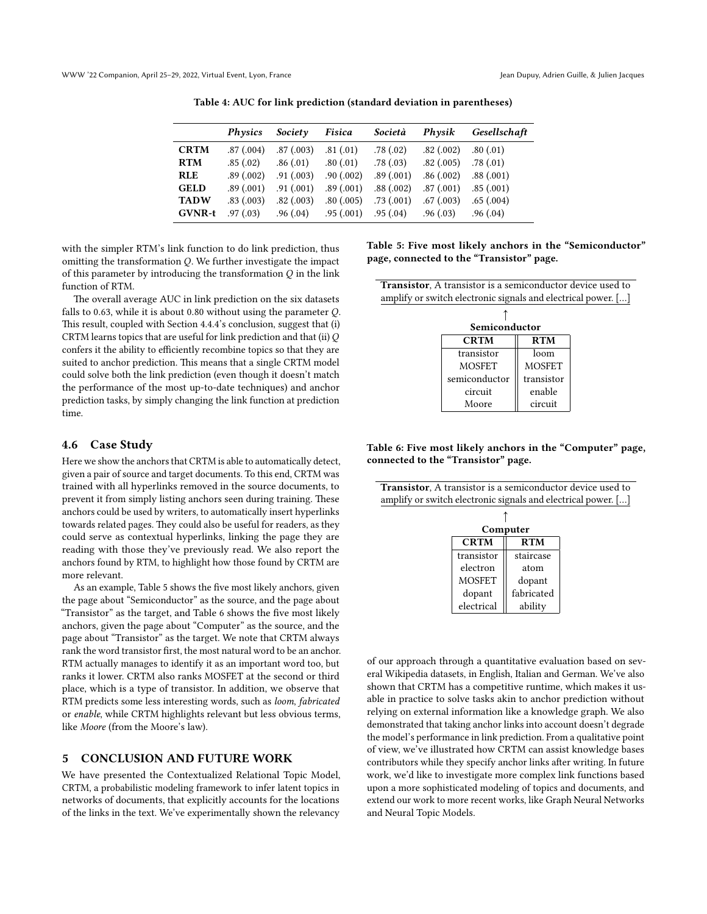<span id="page-7-1"></span>WWW '22 Companion, April 25–29, 2022, Virtual Event, Lyon, France Jean Dupuy, Adrien Guille, & Julien Jacques

|               | Physics   | Society        | Fisica     | Società   | Physik    | Gesellschaft |
|---------------|-----------|----------------|------------|-----------|-----------|--------------|
| <b>CRTM</b>   | .87(.004) | .87(.003)      | .81(.01)   | .78(.02)  | .82(.002) | .80(.01)     |
| <b>RTM</b>    | .85(.02)  | .86(0.01)      | .80(0.01)  | .78(0.03) | .82(.005) | .78(0.01)    |
| <b>RLE</b>    | .89(.002) | $.91 \,(.003)$ | .90(0.002) | .89(.001) | .86(.002) | .88(.001)    |
| <b>GELD</b>   | .89(.001) | $.91 \,(.001)$ | .89(.001)  | .88(.002) | .87(.001) | .85(.001)    |
| <b>TADW</b>   | .83(.003) | .82(.003)      | .80(.005)  | .73(.001) | .67(.003) | .65(.004)    |
| <b>GVNR-t</b> | .97(03)   | .96(0.04)      | .95(0.001) | .95(0.04) | .96(0.03) | .96(0.04)    |

Table 4: AUC for link prediction (standard deviation in parentheses)

with the simpler RTM's link function to do link prediction, thus omitting the transformation  $Q$ . We further investigate the impact of this parameter by introducing the transformation  $Q$  in the link function of RTM.

The overall average AUC in link prediction on the six datasets falls to 0.63, while it is about 0.80 without using the parameter  $Q$ . This result, coupled with Section [4.4.4'](#page-6-4)s conclusion, suggest that (i) CRTM learns topics that are useful for link prediction and that (ii)  $Q$ confers it the ability to efficiently recombine topics so that they are suited to anchor prediction. This means that a single CRTM model could solve both the link prediction (even though it doesn't match the performance of the most up-to-date techniques) and anchor prediction tasks, by simply changing the link function at prediction time.

## <span id="page-7-0"></span>4.6 Case Study

Here we show the anchors that CRTM is able to automatically detect, given a pair of source and target documents. To this end, CRTM was trained with all hyperlinks removed in the source documents, to prevent it from simply listing anchors seen during training. These anchors could be used by writers, to automatically insert hyperlinks towards related pages. They could also be useful for readers, as they could serve as contextual hyperlinks, linking the page they are reading with those they've previously read. We also report the anchors found by RTM, to highlight how those found by CRTM are more relevant.

As an example, Table [5](#page-7-2) shows the five most likely anchors, given the page about "Semiconductor" as the source, and the page about "Transistor" as the target, and Table [6](#page-7-3) shows the five most likely anchors, given the page about "Computer" as the source, and the page about "Transistor" as the target. We note that CRTM always rank the word transistor first, the most natural word to be an anchor. RTM actually manages to identify it as an important word too, but ranks it lower. CRTM also ranks MOSFET at the second or third place, which is a type of transistor. In addition, we observe that RTM predicts some less interesting words, such as loom, fabricated or enable, while CRTM highlights relevant but less obvious terms, like Moore (from the Moore's law).

## 5 CONCLUSION AND FUTURE WORK

We have presented the Contextualized Relational Topic Model, CRTM, a probabilistic modeling framework to infer latent topics in networks of documents, that explicitly accounts for the locations of the links in the text. We've experimentally shown the relevancy

<span id="page-7-2"></span>Table 5: Five most likely anchors in the "Semiconductor" page, connected to the "Transistor" page.

| Transistor, A transistor is a semiconductor device used to    |  |
|---------------------------------------------------------------|--|
| amplify or switch electronic signals and electrical power. [] |  |

| Semiconductor |               |  |  |  |  |
|---------------|---------------|--|--|--|--|
| <b>CRTM</b>   | <b>RTM</b>    |  |  |  |  |
| transistor    | loom          |  |  |  |  |
| <b>MOSFET</b> | <b>MOSFET</b> |  |  |  |  |
| semiconductor | transistor    |  |  |  |  |
| circuit       | enable        |  |  |  |  |
| Moore         | circuit       |  |  |  |  |

<span id="page-7-3"></span>Table 6: Five most likely anchors in the "Computer" page, connected to the "Transistor" page.

Transistor, A transistor is a semiconductor device used to

| amplify or switch electronic signals and electrical power. [] |               |            |  |
|---------------------------------------------------------------|---------------|------------|--|
|                                                               |               |            |  |
|                                                               |               | Computer   |  |
|                                                               | <b>CRTM</b>   | <b>RTM</b> |  |
|                                                               | transistor    | staircase  |  |
|                                                               | electron      | atom       |  |
|                                                               | <b>MOSFET</b> | dopant     |  |
|                                                               | dopant        | fabricated |  |
|                                                               | electrical    | ability    |  |

of our approach through a quantitative evaluation based on several Wikipedia datasets, in English, Italian and German. We've also shown that CRTM has a competitive runtime, which makes it usable in practice to solve tasks akin to anchor prediction without relying on external information like a knowledge graph. We also demonstrated that taking anchor links into account doesn't degrade the model's performance in link prediction. From a qualitative point of view, we've illustrated how CRTM can assist knowledge bases contributors while they specify anchor links after writing. In future work, we'd like to investigate more complex link functions based upon a more sophisticated modeling of topics and documents, and extend our work to more recent works, like Graph Neural Networks and Neural Topic Models.